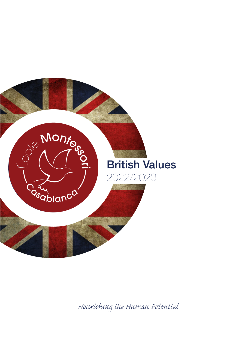

*Nourishing the Human Pential*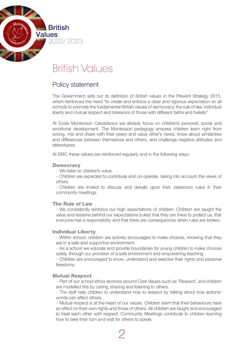

# British Values

# Policy statement

The Government sets out its definition of British values in the Prevent Strategy 2015, which reinforced the need "to create and enforce a clear and rigorous expectation on all schools to promote the fundamental British values of democracy, the rule of law, individual liberty and mutual respect and tolerance of those with different faiths and beliefs."

At Ecole Montessori Casablanca we already focus on children's personal, social and emotional development. The Montessori pedagogy ensures children learn right from wrong, mix and share with their peers and value other's views, know about similarities and differences between themselves and others, and challenge negative attitudes and stereotypes.

At EMC these values are reinforced regularly and in the following ways:

### **Democracy**

• We listen to children's voice.

• Children are expected to contribute and co-operate, taking into account the views of others.

• Children are invited to discuss and debate upon their classroom rules in their community meetings.

### The Rule of Law

• We consistently reinforce our high expectations of children. Children are taught the value and reasons behind our expectations (rules) that they are there to protect us, that everyone has a responsibility and that there are consequences when rules are broken.

#### Individual Liberty

• Within school, children are actively encouraged to make choices, knowing that they are in a safe and supportive environment.

• As a school we educate and provide boundaries for young children to make choices safely, through our provision of a safe environment and empowering teaching.

• Children are encouraged to know, understand and exercise their rights and personal freedoms.

#### Mutual Respect

• Part of our school ethos revolves around Core Values such as 'Respect', and children are modelled this by caring, sharing and listening to others.

• The staff help children to understand how to respect by talking about how actions/ words can affect others.

• Mutual respect is at the heart of our values. Children learn that their behaviours have an effect on their own rights and those of others. All children are taught and encouraged to treat each other with respect. Community Meetings contribute to children learning how to take their turn and wait for others to speak.